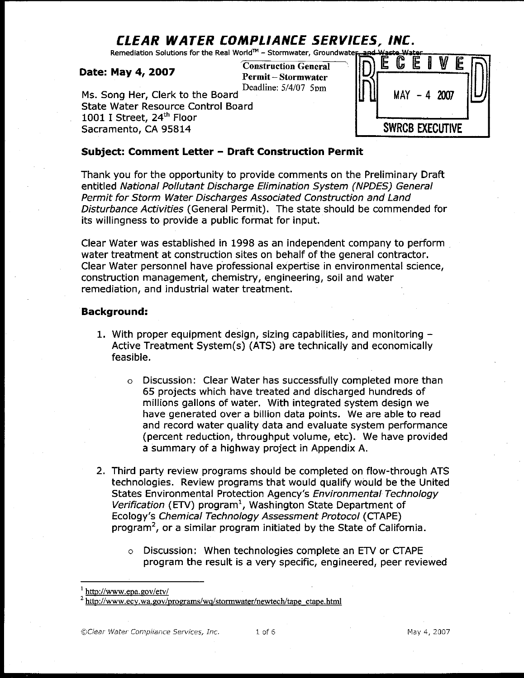# CLEAR WATER COMPLIANCE SERVICES, INC.

Remediation Solutions for the Real World™ - Stormwater, Groundwater

#### Date: May 4, 2007

**Construction General Permit-Stormwater** Deadline: 5/4/07 5pm

Ms. Song Her, Clerk to the Board **State Water Resource Control Board** 1001 I Street, 24th Floor Sacramento, CA 95814



#### Subject: Comment Letter - Draft Construction Permit

Thank you for the opportunity to provide comments on the Preliminary Draft entitled National Pollutant Discharge Elimination System (NPDES) General Permit for Storm Water Discharges Associated Construction and Land Disturbance Activities (General Permit). The state should be commended for its willingness to provide a public format for input.

Clear Water was established in 1998 as an independent company to perform water treatment at construction sites on behalf of the general contractor. Clear Water personnel have professional expertise in environmental science, construction management, chemistry, engineering, soil and water remediation, and industrial water treatment.

#### Background:

- 1. With proper equipment design, sizing capabilities, and monitoring  $-$ Active Treatment System(s) (ATS) are technically and economically feasible.
	- Discussion: Clear Water has successfully completed more than  $\circ$ 65 projects which have treated and discharged hundreds of millions gallons of water. With integrated system design we have generated over a billion data points. We are able to read and record water quality data and evaluate system performance (percent reduction, throughput volume, etc). We have provided a summary of a highway project in Appendix A.
- 2. Third party review programs should be completed on flow-through ATS technologies. Review programs that would qualify would be the United States Environmental Protection Agency's Environmental Technology Verification (ETV) program<sup>1</sup>, Washington State Department of Ecology's Chemical Technology Assessment Protocol (CTAPE) program<sup>2</sup>, or a similar program initiated by the State of California.
	- o Discussion: When technologies complete an ETV or CTAPE program the result is a very specific, engineered, peer reviewed

 $\frac{1}{1}$  http://www.epa.gov/etv/

 $^{2}$  http://www.ecy.wa.gov/programs/wq/stormwater/newtech/tape\_ctape.html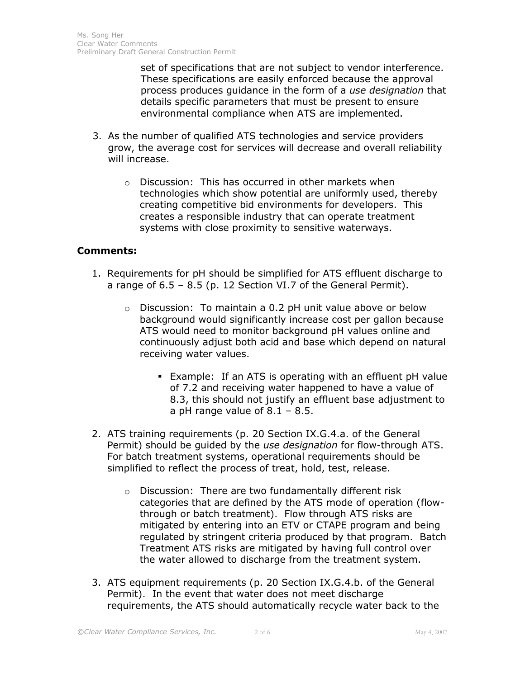set of specifications that are not subject to vendor interference. These specifications are easily enforced because the approval process produces guidance in the form of a use designation that details specific parameters that must be present to ensure environmental compliance when ATS are implemented.

- 3. As the number of qualified ATS technologies and service providers grow, the average cost for services will decrease and overall reliability will increase.
	- o Discussion: This has occurred in other markets when technologies which show potential are uniformly used, thereby creating competitive bid environments for developers. This creates a responsible industry that can operate treatment systems with close proximity to sensitive waterways.

### Comments:

- 1. Requirements for pH should be simplified for ATS effluent discharge to a range of 6.5 – 8.5 (p. 12 Section VI.7 of the General Permit).
	- o Discussion: To maintain a 0.2 pH unit value above or below background would significantly increase cost per gallon because ATS would need to monitor background pH values online and continuously adjust both acid and base which depend on natural receiving water values.
		- Example: If an ATS is operating with an effluent pH value of 7.2 and receiving water happened to have a value of 8.3, this should not justify an effluent base adjustment to a pH range value of  $8.1 - 8.5$ .
- 2. ATS training requirements (p. 20 Section IX.G.4.a. of the General Permit) should be guided by the use designation for flow-through ATS. For batch treatment systems, operational requirements should be simplified to reflect the process of treat, hold, test, release.
	- o Discussion: There are two fundamentally different risk categories that are defined by the ATS mode of operation (flowthrough or batch treatment). Flow through ATS risks are mitigated by entering into an ETV or CTAPE program and being regulated by stringent criteria produced by that program. Batch Treatment ATS risks are mitigated by having full control over the water allowed to discharge from the treatment system.
- 3. ATS equipment requirements (p. 20 Section IX.G.4.b. of the General Permit). In the event that water does not meet discharge requirements, the ATS should automatically recycle water back to the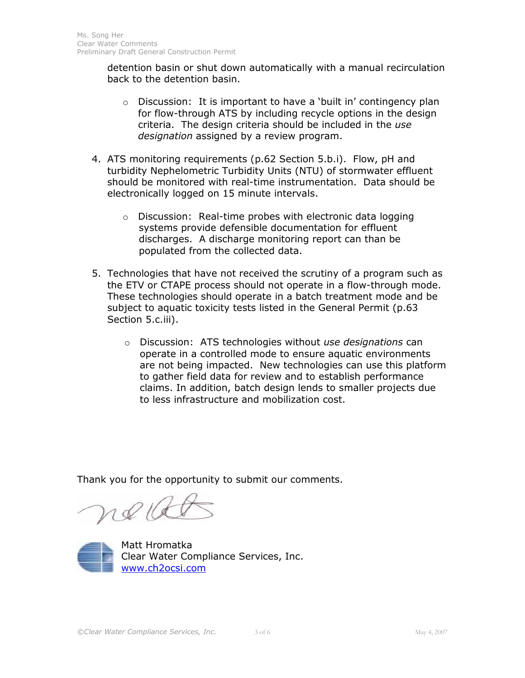detention basin or shut down automatically with a manual recirculation back to the detention basin.

- o Discussion: It is important to have a 'built in' contingency plan for flow-through ATS by including recycle options in the design criteria. The design criteria should be included in the use designation assigned by a review program.
- 4. ATS monitoring requirements (p.62 Section 5.b.i). Flow, pH and turbidity Nephelometric Turbidity Units (NTU) of stormwater effluent should be monitored with real-time instrumentation. Data should be electronically logged on 15 minute intervals.
	- o Discussion: Real-time probes with electronic data logging systems provide defensible documentation for effluent discharges. A discharge monitoring report can than be populated from the collected data.
- 5. Technologies that have not received the scrutiny of a program such as the ETV or CTAPE process should not operate in a flow-through mode. These technologies should operate in a batch treatment mode and be subject to aquatic toxicity tests listed in the General Permit (p.63 Section 5.c.iii).
	- $\circ$  Discussion: ATS technologies without use designations can operate in a controlled mode to ensure aquatic environments are not being impacted. New technologies can use this platform to gather field data for review and to establish performance claims. In addition, batch design lends to smaller projects due to less infrastructure and mobilization cost.

Thank you for the opportunity to submit our comments.

re 16



Matt Hromatka Clear Water Compliance Services, Inc. www.ch2ocsi.com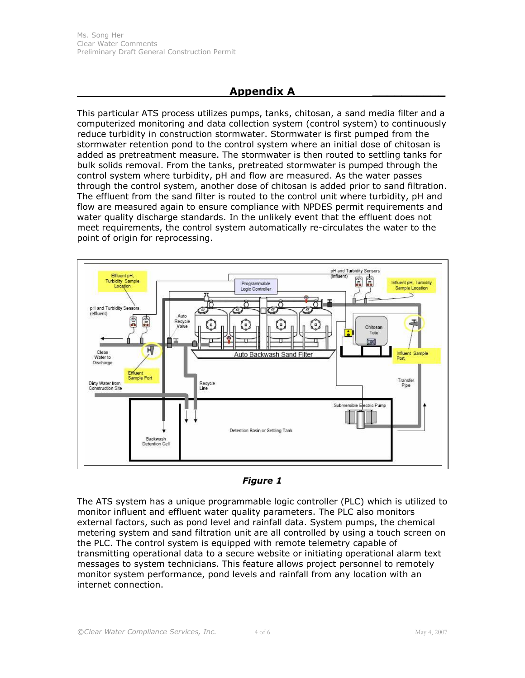## Appendix A \_\_\_\_\_\_\_\_\_\_

This particular ATS process utilizes pumps, tanks, chitosan, a sand media filter and a computerized monitoring and data collection system (control system) to continuously reduce turbidity in construction stormwater. Stormwater is first pumped from the stormwater retention pond to the control system where an initial dose of chitosan is added as pretreatment measure. The stormwater is then routed to settling tanks for bulk solids removal. From the tanks, pretreated stormwater is pumped through the control system where turbidity, pH and flow are measured. As the water passes through the control system, another dose of chitosan is added prior to sand filtration. The effluent from the sand filter is routed to the control unit where turbidity, pH and flow are measured again to ensure compliance with NPDES permit requirements and water quality discharge standards. In the unlikely event that the effluent does not meet requirements, the control system automatically re-circulates the water to the point of origin for reprocessing.





The ATS system has a unique programmable logic controller (PLC) which is utilized to monitor influent and effluent water quality parameters. The PLC also monitors external factors, such as pond level and rainfall data. System pumps, the chemical metering system and sand filtration unit are all controlled by using a touch screen on the PLC. The control system is equipped with remote telemetry capable of transmitting operational data to a secure website or initiating operational alarm text messages to system technicians. This feature allows project personnel to remotely monitor system performance, pond levels and rainfall from any location with an internet connection.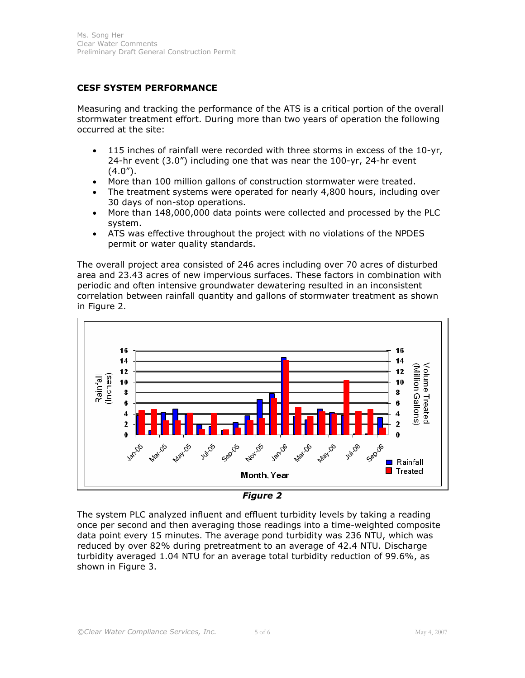#### CESF SYSTEM PERFORMANCE

Measuring and tracking the performance of the ATS is a critical portion of the overall stormwater treatment effort. During more than two years of operation the following occurred at the site:

- 115 inches of rainfall were recorded with three storms in excess of the 10-yr, 24-hr event (3.0") including one that was near the 100-yr, 24-hr event  $(4.0")$ .
- More than 100 million gallons of construction stormwater were treated.
- The treatment systems were operated for nearly 4,800 hours, including over 30 days of non-stop operations.
- More than 148,000,000 data points were collected and processed by the PLC system.
- ATS was effective throughout the project with no violations of the NPDES permit or water quality standards.

The overall project area consisted of 246 acres including over 70 acres of disturbed area and 23.43 acres of new impervious surfaces. These factors in combination with periodic and often intensive groundwater dewatering resulted in an inconsistent correlation between rainfall quantity and gallons of stormwater treatment as shown in Figure 2.





The system PLC analyzed influent and effluent turbidity levels by taking a reading once per second and then averaging those readings into a time-weighted composite data point every 15 minutes. The average pond turbidity was 236 NTU, which was reduced by over 82% during pretreatment to an average of 42.4 NTU. Discharge turbidity averaged 1.04 NTU for an average total turbidity reduction of 99.6%, as shown in Figure 3.